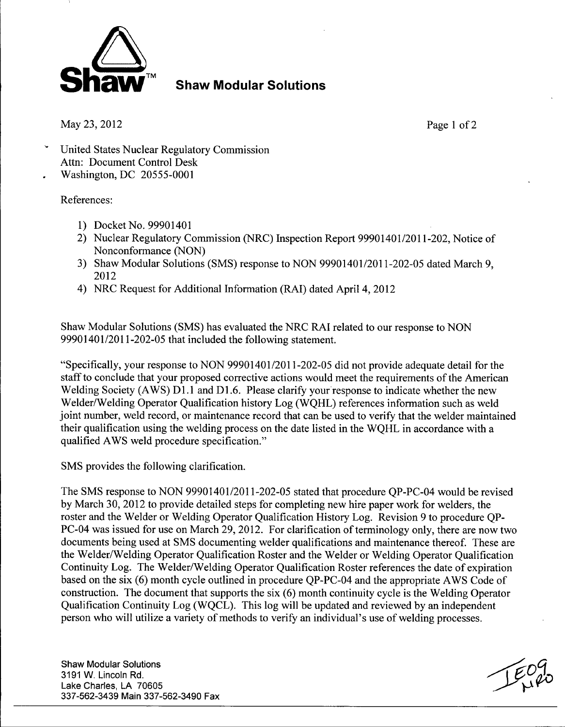

**Shaw Modular Solutions** 

May 23, 2012 Page 1 of 2

- United States Nuclear Regulatory Commission Attn: Document Control Desk
- Washington, DC 20555-0001

## References:

- 1) Docket No. 99901401
- 2) Nuclear Regulatory Commission (NRC) Inspection Report 99901401/2011-202, Notice of Nonconformance (NON)
- 3) Shaw Modular Solutions (SMS) response to NON 99901401/2011-202-05 dated March 9, 2012
- 4) NRC Request for Additional Information (RAI) dated April 4, 2012

Shaw Modular Solutions (SMS) has evaluated the NRC RAI related to our response to NON 99901401/2011-202-05 that included the following statement.

"Specifically, your response to NON 99901401/2011-202-05 did not provide adequate detail for the staff to conclude that your proposed corrective actions would meet the requirements of the American Welding Society (AWS) D1.1 and D1.6. Please clarify your response to indicate whether the new Welder/Welding Operator Qualification history Log (WQHL) references information such as weld joint number, weld record, or maintenance record that can be used to verify that the welder maintained their qualification using the welding process on the date listed in the WQHL in accordance with a qualified AWS weld procedure specification."

SMS provides the following clarification.

The SMS response to NON 99901401/2011-202-05 stated that procedure QP-PC-04 would be revised by March 30, 2012 to provide detailed steps for completing new hire paper work for welders, the roster and the Welder or Welding Operator Qualification History Log. Revision 9 to procedure QP-PC-04 was issued for use on March 29, 2012. For clarification of terminology only, there are now two documents being used at SMS documenting welder qualifications and maintenance thereof. These are the Welder/Welding Operator Qualification Roster and the Welder or Welding Operator Qualification Continuity Log. The Welder/Welding Operator Qualification Roster references the date of expiration based on the six (6) month cycle outlined in procedure QP-PC-04 and the appropriate AWS Code of construction. The document that supports the six (6) month continuity cycle is the Welding Operator Qualification Continuity Log (WQCL). This log will be updated and reviewed by an independent person who will utilize a variety of methods to verify an individual's use of welding processes.

Shaw Modular Solutions **.999 Shaw Modular Solutions .999 Shaw Modular Solutions .999 Shaw Modular Solutions** 3191 W. Lincoln Rd. Lake Charles, LA 70605 337-562-3439 Main 337-562-3490 Fax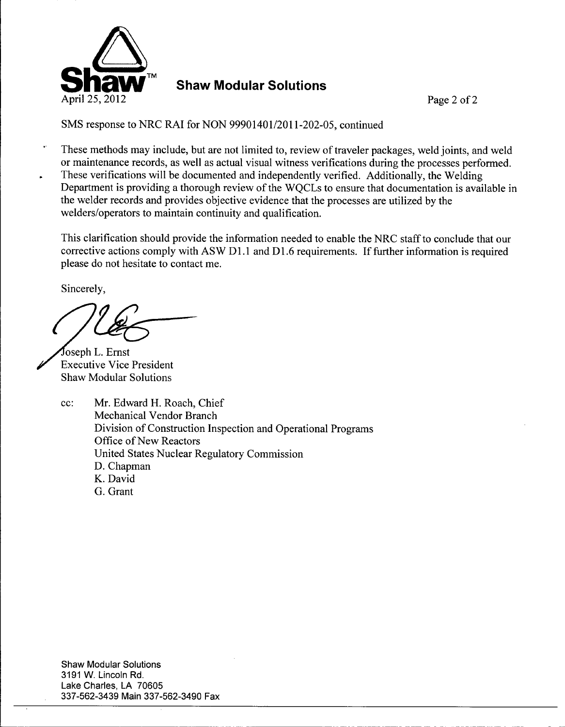

**Shaw Modular Solutions** 

SMS response to NRC RAI for NON 99901401/2011-202-05, continued

These methods may include, but are not limited to, review of traveler packages, weld joints, and weld or maintenance records, as well as actual visual witness verifications during the processes performed. These verifications will be documented and independently verified. Additionally, the Welding Department is providing a thorough review of the WQCLs to ensure that documentation is available in the welder records and provides objective evidence that the processes are utilized by the welders/operators to maintain continuity and qualification.

This clarification should provide the information needed to enable the NRC staff to conclude that our corrective actions comply with ASW D1.1 and **D1** .6 requirements. If further information is required please do not hesitate to contact me.

Sincerely,

oseph L. Ernst . Executive Vice President Shaw Modular Solutions

cc: Mr. Edward H. Roach, Chief Mechanical Vendor Branch Division of Construction Inspection and Operational Programs Office of New Reactors United States Nuclear Regulatory Commission D. Chapman K. David G. Grant

Shaw Modular Solutions 3191 W. Lincoln Rd. Lake Charles, LA 70605 337-562-3439 Main 337-562-3490 Fax